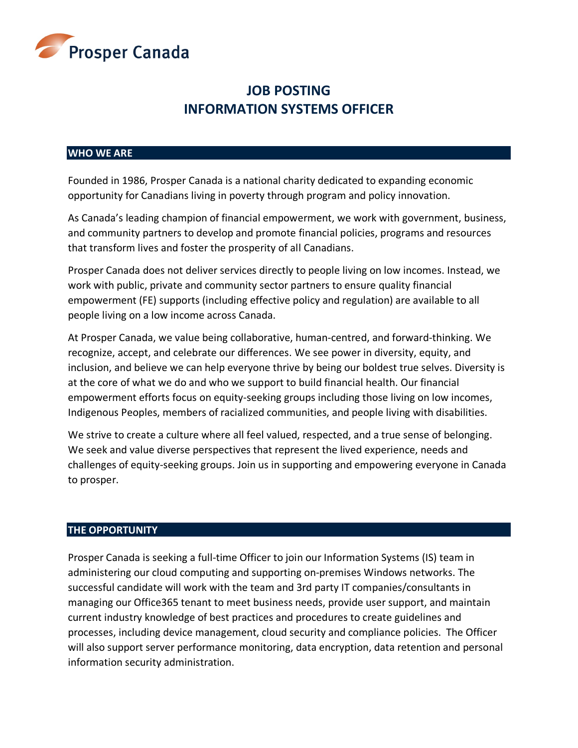

# **JOB POSTING INFORMATION SYSTEMS OFFICER**

#### **WHO WE ARE**

Founded in 1986, Prosper Canada is a national charity dedicated to expanding economic opportunity for Canadians living in poverty through program and policy innovation.

As Canada's leading champion of financial empowerment, we work with government, business, and community partners to develop and promote financial policies, programs and resources that transform lives and foster the prosperity of all Canadians.

Prosper Canada does not deliver services directly to people living on low incomes. Instead, we work with public, private and community sector partners to ensure quality financial empowerment (FE) supports (including effective policy and regulation) are available to all people living on a low income across Canada.

At Prosper Canada, we value being collaborative, human-centred, and forward-thinking. We recognize, accept, and celebrate our differences. We see power in diversity, equity, and inclusion, and believe we can help everyone thrive by being our boldest true selves. Diversity is at the core of what we do and who we support to build financial health. Our financial empowerment efforts focus on equity-seeking groups including those living on low incomes, Indigenous Peoples, members of racialized communities, and people living with disabilities.

We strive to create a culture where all feel valued, respected, and a true sense of belonging. We seek and value diverse perspectives that represent the lived experience, needs and challenges of equity-seeking groups. Join us in supporting and empowering everyone in Canada to prosper.

# **THE OPPORTUNITY**

Prosper Canada is seeking a full-time Officer to join our Information Systems (IS) team in administering our cloud computing and supporting on-premises Windows networks. The successful candidate will work with the team and 3rd party IT companies/consultants in managing our Office365 tenant to meet business needs, provide user support, and maintain current industry knowledge of best practices and procedures to create guidelines and processes, including device management, cloud security and compliance policies. The Officer will also support server performance monitoring, data encryption, data retention and personal information security administration.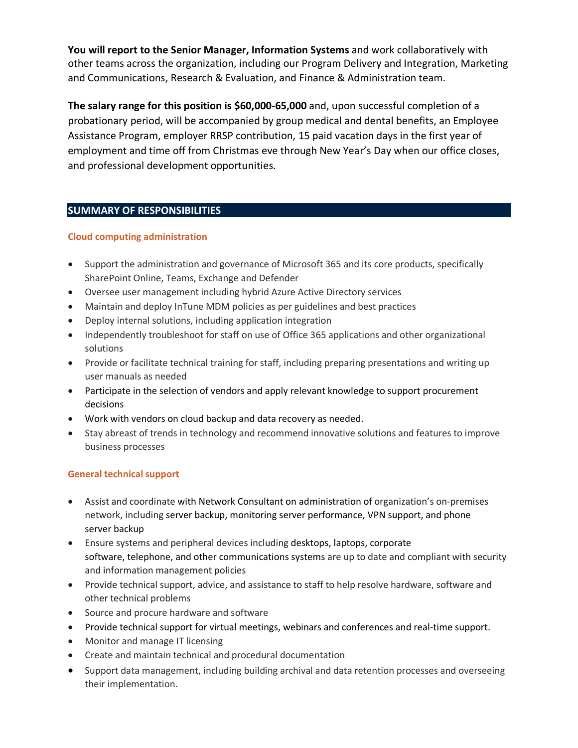**You will report to the Senior Manager, Information Systems** and work collaboratively with other teams across the organization, including our Program Delivery and Integration, Marketing and Communications, Research & Evaluation, and Finance & Administration team.

**The salary range for this position is \$60,000-65,000** and, upon successful completion of a probationary period, will be accompanied by group medical and dental benefits, an Employee Assistance Program, employer RRSP contribution, 15 paid vacation days in the first year of employment and time off from Christmas eve through New Year's Day when our office closes, and professional development opportunities. 

# **SUMMARY OF RESPONSIBILITIES**

# **Cloud computing administration**

- Support the administration and governance of Microsoft 365 and its core products, specifically SharePoint Online, Teams, Exchange and Defender
- Oversee user management including hybrid Azure Active Directory services
- Maintain and deploy InTune MDM policies as per guidelines and best practices
- Deploy internal solutions, including application integration
- Independently troubleshoot for staff on use of Office 365 applications and other organizational solutions
- Provide or facilitate technical training for staff, including preparing presentations and writing up user manuals as needed
- Participate in the selection of vendors and apply relevant knowledge to support procurement decisions
- Work with vendors on cloud backup and data recovery as needed.
- Stay abreast of trends in technology and recommend innovative solutions and features to improve business processes

# **General technical support**

- Assist and coordinate with Network Consultant on administration of organization's on-premises network, including server backup, monitoring server performance, VPN support, and phone server backup
- Ensure systems and peripheral devices including desktops, laptops, corporate software, telephone, and other communications systems are up to date and compliant with security and information management policies
- Provide technical support, advice, and assistance to staff to help resolve hardware, software and other technical problems
- Source and procure hardware and software
- Provide technical support for virtual meetings, webinars and conferences and real-time support.
- Monitor and manage IT licensing
- Create and maintain technical and procedural documentation
- Support data management, including building archival and data retention processes and overseeing their implementation.